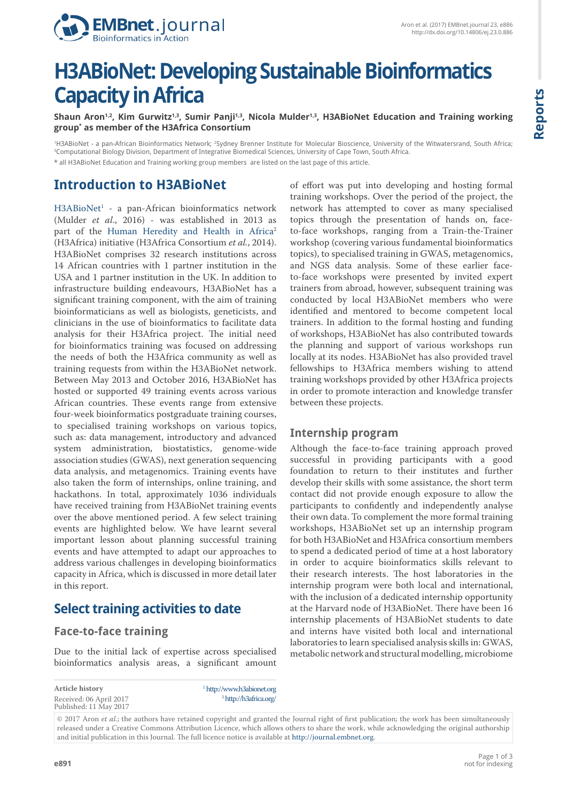

# **H3ABioNet: Developing Sustainable Bioinformatics Capacity in Africa**

Shaun Aron<sup>1,2</sup>, Kim Gurwitz<sup>1,3</sup>, Sumir Panji<sup>1,3</sup>, Nicola Mulder<sup>1,3</sup>, H3ABioNet Education and Training working **group\* as member of the H3Africa Consortium**

<sup>1</sup>H3ABioNet - a pan-African Bioinformatics Network; <sup>2</sup>Sydney Brenner Institute for Molecular Bioscience, University of the Witwatersrand, South Africa;<br><sup>3</sup>Computational Biology Division, Denartment of Integrative Biomedi <sup>3</sup>Computational Biology Division, Department of Integrative Biomedical Sciences, University of Cape Town, South Africa. \* all H3ABioNet Education and Training working group members are listed on the last page of this article.

# **Introduction to H3ABioNet**

[H3ABioNet](http://www.h3abionet.org)<sup>1</sup> - a pan-African bioinformatics network (Mulder *et al*., 2016) - was established in 2013 as part of the [Human Heredity and Health in Africa](http://h3africa.org/)<sup>2</sup> (H3Africa) initiative (H3Africa Consortium *et al.*, 2014). H3ABioNet comprises 32 research institutions across 14 African countries with 1 partner institution in the USA and 1 partner institution in the UK. In addition to infrastructure building endeavours, H3ABioNet has a significant training component, with the aim of training bioinformaticians as well as biologists, geneticists, and clinicians in the use of bioinformatics to facilitate data analysis for their H3Africa project. The initial need for bioinformatics training was focused on addressing the needs of both the H3Africa community as well as training requests from within the H3ABioNet network. Between May 2013 and October 2016, H3ABioNet has hosted or supported 49 training events across various African countries. These events range from extensive four-week bioinformatics postgraduate training courses, to specialised training workshops on various topics, such as: data management, introductory and advanced system administration, biostatistics, genome-wide association studies (GWAS), next generation sequencing data analysis, and metagenomics. Training events have also taken the form of internships, online training, and hackathons. In total, approximately 1036 individuals have received training from H3ABioNet training events over the above mentioned period. A few select training events are highlighted below. We have learnt several important lesson about planning successful training events and have attempted to adapt our approaches to address various challenges in developing bioinformatics capacity in Africa, which is discussed in more detail later in this report.

## **Select training activities to date**

## **Face-to-face training**

Due to the initial lack of expertise across specialised bioinformatics analysis areas, a significant amount

**Article history** Received: 06 April 2017 Published: 11 May 2017 1  [h](http://www.h3abionet.org)ttp://www.h3abionet.org 2 http://h3africa.org/

of effort was put into developing and hosting formal training workshops. Over the period of the project, the network has attempted to cover as many specialised topics through the presentation of hands on, faceto-face workshops, ranging from a Train-the-Trainer workshop (covering various fundamental bioinformatics topics), to specialised training in GWAS, metagenomics, and NGS data analysis. Some of these earlier faceto-face workshops were presented by invited expert trainers from abroad, however, subsequent training was conducted by local H3ABioNet members who were identified and mentored to become competent local trainers. In addition to the formal hosting and funding of workshops, H3ABioNet has also contributed towards the planning and support of various workshops run locally at its nodes. H3ABioNet has also provided travel fellowships to H3Africa members wishing to attend training workshops provided by other H3Africa projects in order to promote interaction and knowledge transfer between these projects.

## **Internship program**

Although the face-to-face training approach proved successful in providing participants with a good foundation to return to their institutes and further develop their skills with some assistance, the short term contact did not provide enough exposure to allow the participants to confidently and independently analyse their own data. To complement the more formal training workshops, H3ABioNet set up an internship program for both H3ABioNet and H3Africa consortium members to spend a dedicated period of time at a host laboratory in order to acquire bioinformatics skills relevant to their research interests. The host laboratories in the internship program were both local and international, with the inclusion of a dedicated internship opportunity at the Harvard node of H3ABioNet. There have been 16 internship placements of H3ABioNet students to date and interns have visited both local and international laboratories to learn specialised analysis skills in: GWAS, metabolic network and structural modelling, microbiome

<sup>© 2017</sup> Aron *et al.*; the authors have retained copyright and granted the Journal right of first publication; the work has been simultaneously released under a Creative Commons Attribution Licence, which allows others to share the work, while acknowledging the original authorship and initial publication in this Journal. The full licence notice is available at <http://journal.embnet.org>.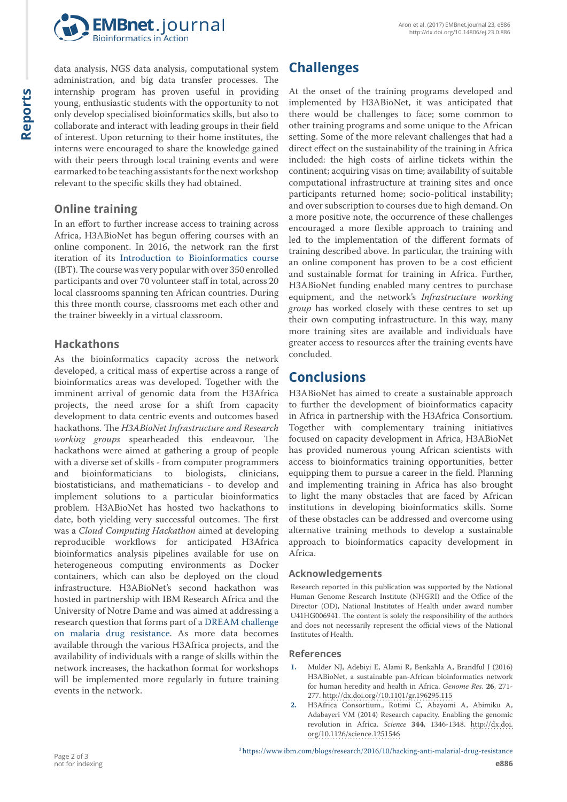

data analysis, NGS data analysis, computational system administration, and big data transfer processes. The internship program has proven useful in providing young, enthusiastic students with the opportunity to not only develop specialised bioinformatics skills, but also to collaborate and interact with leading groups in their field of interest. Upon returning to their home institutes, the interns were encouraged to share the knowledge gained with their peers through local training events and were earmarked to be teaching assistants for the next workshop relevant to the specific skills they had obtained.

## **Online training**

In an effort to further increase access to training across Africa, H3ABioNet has begun offering courses with an online component. In 2016, the network ran the first iteration of its [Introduction to Bioinformatics course](http://training.h3abionet.org/IBT_2016) (IBT). The course was very popular with over 350 enrolled participants and over 70 volunteer staff in total, across 20 local classrooms spanning ten African countries. During this three month course, classrooms met each other and the trainer biweekly in a virtual classroom.

#### **Hackathons**

As the bioinformatics capacity across the network developed, a critical mass of expertise across a range of bioinformatics areas was developed. Together with the imminent arrival of genomic data from the H3Africa projects, the need arose for a shift from capacity development to data centric events and outcomes based hackathons. The *H3ABioNet Infrastructure and Research working groups* spearheaded this endeavour. The hackathons were aimed at gathering a group of people with a diverse set of skills - from computer programmers<br>and bioinformaticians to biologists, clinicians, bioinformaticians to biostatisticians, and mathematicians - to develop and implement solutions to a particular bioinformatics problem. H3ABioNet has hosted two hackathons to date, both yielding very successful outcomes. The first was a *Cloud Computing Hackathon* aimed at developing reproducible workflows for anticipated H3Africa bioinformatics analysis pipelines available for use on heterogeneous computing environments as Docker containers, which can also be deployed on the cloud infrastructure. H3ABioNet's second hackathon was hosted in partnership with IBM Research Africa and the University of Notre Dame and was aimed at addressing a research question that forms part of a [DREAM challenge](https://www.ibm.com/blogs/research/2016/10/hacking-anti-malarial-drug-resistance)  [on malaria drug resistance](https://www.ibm.com/blogs/research/2016/10/hacking-anti-malarial-drug-resistance). As more data becomes available through the various H3Africa projects, and the availability of individuals with a range of skills within the network increases, the hackathon format for workshops will be implemented more regularly in future training events in the network.

# **Challenges**

At the onset of the training programs developed and implemented by H3ABioNet, it was anticipated that there would be challenges to face; some common to other training programs and some unique to the African setting. Some of the more relevant challenges that had a direct effect on the sustainability of the training in Africa included: the high costs of airline tickets within the continent; acquiring visas on time; availability of suitable computational infrastructure at training sites and once participants returned home; socio-political instability; and over subscription to courses due to high demand. On a more positive note, the occurrence of these challenges encouraged a more flexible approach to training and led to the implementation of the different formats of training described above. In particular, the training with an online component has proven to be a cost efficient and sustainable format for training in Africa. Further, H3ABioNet funding enabled many centres to purchase equipment, and the network's *Infrastructure working group* has worked closely with these centres to set up their own computing infrastructure. In this way, many more training sites are available and individuals have greater access to resources after the training events have concluded.

# **Conclusions**

H3ABioNet has aimed to create a sustainable approach to further the development of bioinformatics capacity in Africa in partnership with the H3Africa Consortium. Together with complementary training initiatives focused on capacity development in Africa, H3ABioNet has provided numerous young African scientists with access to bioinformatics training opportunities, better equipping them to pursue a career in the field. Planning and implementing training in Africa has also brought to light the many obstacles that are faced by African institutions in developing bioinformatics skills. Some of these obstacles can be addressed and overcome using alternative training methods to develop a sustainable approach to bioinformatics capacity development in Africa.

#### **Acknowledgements**

Research reported in this publication was supported by the National Human Genome Research Institute (NHGRI) and the Office of the Director (OD), National Institutes of Health under award number U41HG006941. The content is solely the responsibility of the authors and does not necessarily represent the official views of the National Institutes of Health.

#### **References**

- **1.** Mulder NJ, Adebiyi E, Alami R, Benkahla A, Brandful J (2016) H3ABioNet, a sustainable pan-African bioinformatics network for human heredity and health in Africa. *Genome Res*. **26**, 271- 277. <http://dx.doi.org//10.1101/gr.196295.115>
- **2.** H3Africa Consortium., Rotimi C, Abayomi A, Abimiku A, Adabayeri VM (2014) Research capacity. Enabling the genomic revolution in Africa. *Science* **344**, 1346-1348. [http://dx.doi.](http://dx.doi.org/10.1126/science.1251546) [org/10.1126/science.1251546](http://dx.doi.org/10.1126/science.1251546)